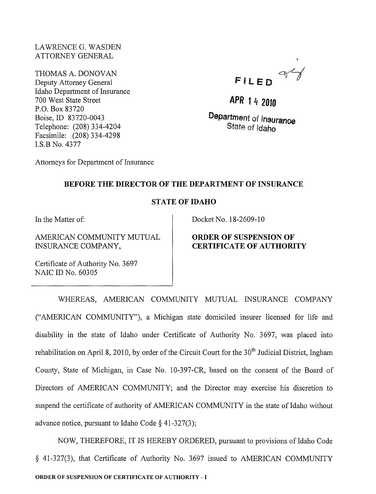#### LAWRENCE G. WASDEN ATTORNEY GENERAL

THOMAS A. DONOVAN Deputy Attorney General Idaho Department of Insurance 700 West State Street P.O. Box 83720 Boise, ID 83720-0043 Telephone: (208) 334-4204 Facsimile: (208) 334-4298 LS.B No. 4377

FILED 94

**APR** 1 4 **<sup>2010</sup>**

**Department of Insuranoe**  State of Idaho

Attorneys for Department of Insurance

## **BEFORE THE DIRECTOR OF THE DEPARTMENT OF INSURANCE**

## **STATE OF IDAHO**

In the Matter of:

AMERICAN COMMUNITY MUTUAL INSURANCE COMPANY,

Certificate of Authority No. 3697 NAIC ID No. 60305

Docket No. 18-2609-10

# **ORDER OF SUSPENSION OF CERTIFICATE OF AUTHORITY**

WHEREAS, AMERICAN COMMUNITY MUTUAL INSURANCE COMPANY ("AMERICAN COMMUNITY"), a Michigan state domiciled insurer licensed for life and disability in the state of Idaho under Certificate of Authority No. 3697, was placed into rehabilitation on April 8, 2010, by order of the Circuit Court for the  $30<sup>th</sup>$  Judicial District, Ingham County, State of Michigan, in Case No. 10-397-CR, based on the consent of the Board of Directors of AMERICAN COMMUNITY; and the Director may exercise his discretion to suspend the certificate of authority of AMERICAN COMMUNITY in the state of Idaho without advance notice, pursuant to Idaho Code § 41-327(3);

NOW, THEREFORE, IT IS HEREBY ORDERED, pursuant to provisions of Idaho Code § 41-327(3), that Certificate of Authority No. 3697 issued to AMERICAN COMMUNITY ORDER OF SUSPENSION OF CERTIFICATE OF AUTHORITY-1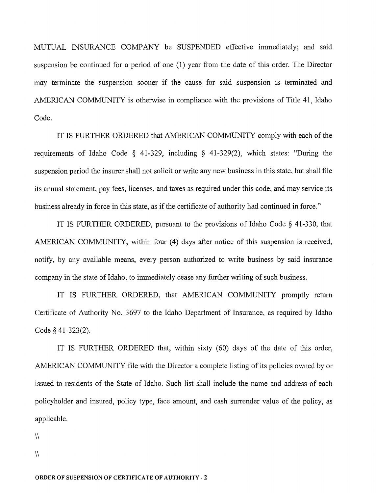MUTUAL INSURANCE COMPANY be SUSPENDED effective immediately; and said suspension be continued for a period of one (l) year from the date of this order. The Director may terminate the suspension sooner if the cause for said suspension is terminated and AMERICAN COMMUNITY is otherwise in compliance with the provisions of Title 41, Idaho Code.

IT IS FURTHER ORDERED that AMERICAN COMMUNITY comply with each of the requirements of Idaho Code  $\S$  41-329, including  $\S$  41-329(2), which states: "During the suspension period the insurer shall not solicit or write any new business in this state, but shall file its annual statement, pay fees, licenses, and taxes as required under this code, and may service its business already in force in this state, as if the certificate of authority had continued in force."

IT IS FURTHER ORDERED, pursuant to the provisions of Idaho Code § 41-330, that AMERICAN COMMUNITY, within four (4) days after notice of this suspension is received, notify, by any available means, every person authorized to write business by said insurance company in the state of Idaho, to immediately cease any further writing of such business.

IT IS FURTHER ORDERED, that AMERICAN COMMUNITY promptly retum Certificate of Authority No. 3697 to the Idaho Department of Insurance, as required by Idaho Code § 41-323(2).

IT IS FURTHER ORDERED that, within sixty (60) days of the date of this order, AMERICAN COMMUNITY file with the Director a complete listing of its policies owned by or issued to residents of the State of Idaho. Such list shall include the name and address of each policyholder and insured, policy type, face amount, and cash surrender value of the policy, as applicable.

 $\sqrt{ }$ 

 $\mathcal{N}$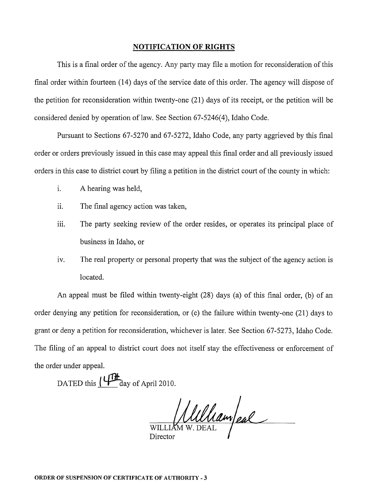#### **NOTIFICATION OF RIGHTS**

This is a final order of the agency. Any party may file a motion for reconsideration of this final order within fourteen (14) days of the service date of this order. The agency will dispose of the petition for reconsideration within twenty-one (21) days of its receipt, or the petition will be considered denied by operation of law. See Section 67-5246(4), Idaho Code.

Pursuant to Sections 67-5270 and 67-5272, Idaho Code, any party aggrieved by this final order or orders previously issued in this case may appeal this final order and all previously issued orders in this case to district court by filing a petition in the district court of the county in which:

- i. A hearing was held,
- ii. The final agency action was taken,
- iii. The party seeking review of the order resides, or operates its principal place of business in Idaho, or
- iv. The real property or personal property that was the subject of the agency action is located.

An appeal must be filed within twenty-eight (28) days (a) of this final order, (b) of an order denying any petition for reconsideration, or (c) the failure within twenty-one (21) days to grant or deny a petition for reconsideration, whichever is later. See Section 67-5273, Idaho Code. The filing of an appeal to district court does not itself stay the effectiveness or enforcement of the order under appeal.

DATED this  $\mu_{\text{day of April 2010}}$ .

WILLIAM W. DEAL